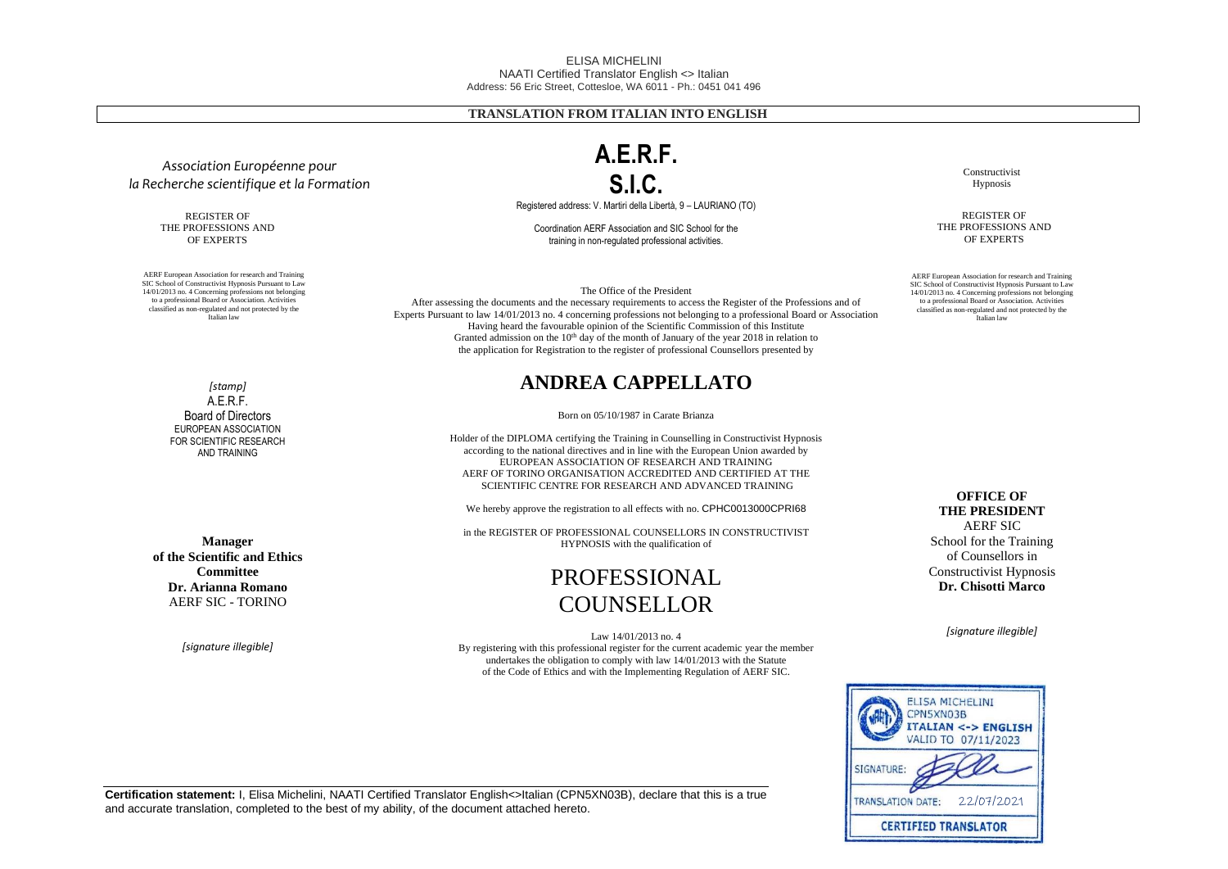#### ELISA MICHELINI NAATI Certified Translator English <> Italian Address: 56 Eric Street, Cottesloe, WA 6011 - Ph.: 0451 041 496

## **TRANSLATION FROM ITALIAN INTO ENGLISH**

 $SIC.$ Registered address: V. Martiri della Libertà, 9 – LAURIANO (TO)

**A.E.R.F.** 

Coordination AERF Association and SIC School for the training in non-regulated professional activities.

The Office of the President

After assessing the documents and the necessary requirements to access the Register of the Professions and of Experts Pursuant to law 14/01/2013 no. 4 concerning professions not belonging to a professional Board or Association Having heard the favourable opinion of the Scientific Commission of this Institute Granted admission on the  $10<sup>th</sup>$  day of the month of January of the year 2018 in relation to the application for Registration to the register of professional Counsellors presented by

## **ANDREA CAPPELLATO**

Born on 05/10/1987 in Carate Brianza

Holder of the DIPLOMA certifying the Training in Counselling in Constructivist Hypnosis according to the national directives and in line with the European Union awarded by EUROPEAN ASSOCIATION OF RESEARCH AND TRAINING AERF OF TORINO ORGANISATION ACCREDITED AND CERTIFIED AT THE SCIENTIFIC CENTRE FOR RESEARCH AND ADVANCED TRAINING

We hereby approve the registration to all effects with no. CPHC0013000CPRI68

in the REGISTER OF PROFESSIONAL COUNSELLORS IN CONSTRUCTIVIST HYPNOSIS with the qualification of

## PROFESSIONAL COUNSELLOR

Law 14/01/2013 no. 4 By registering with this professional register for the current academic year the member undertakes the obligation to comply with law 14/01/2013 with the Statute of the Code of Ethics and with the Implementing Regulation of AERF SIC.

Constructivist Hypnosis

REGISTER OF THE PROFESSIONS AND OF EXPERTS

AERF European Association for research and Training SIC School of Constructivist Hypnosis Pursuant to Law 14/01/2013 no. 4 Concerning professions not belonging to a professional Board or Association. Activities classified as non-regulated and not protected by the Italian law

> **OFFICE OF THE PRESIDENT** AERF SIC School for the Training of Counsellors in Constructivist Hypnosis **Dr. Chisotti Marco**

> > *[signature illegible]*



*[stamp]* A.E.R.F. Board of Directors EUROPEAN ASSOCIATION FOR SCIENTIFIC RESEARCH AND TRAINING

*Association Européenne pour la Recherche scientifique et la Formation*

> REGISTER OF THE PROFESSIONS AND OF EXPERTS

AERF European Association for research and Training SIC School of Constructivist Hypnosis Pursuant to Law 14/01/2013 no. 4 Concerning professions not belonging to a professional Board or Association. Activities classified as non-regulated and not protected by the Italian law

**Manager of the Scientific and Ethics Committee Dr. Arianna Romano** AERF SIC - TORINO

*[signature illegible]*

**Certification statement:** I, Elisa Michelini, NAATI Certified Translator English<>Italian (CPN5XN03B), declare that this is a true and accurate translation, completed to the best of my ability, of the document attached hereto.